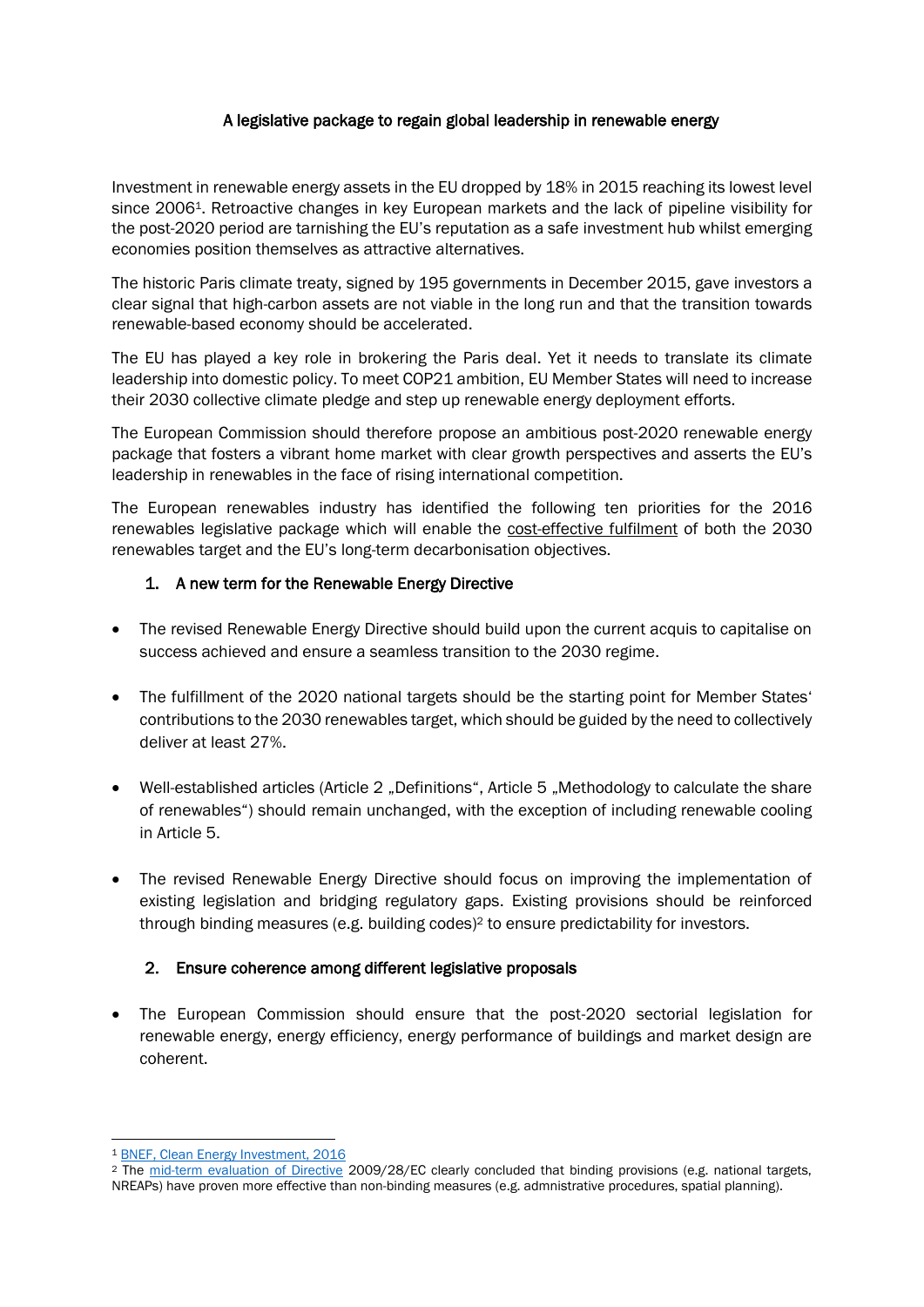#### A legislative package to regain global leadership in renewable energy

Investment in renewable energy assets in the EU dropped by 18% in 2015 reaching its lowest level since 20061. Retroactive changes in key European markets and the lack of pipeline visibility for the post-2020 period are tarnishing the EU's reputation as a safe investment hub whilst emerging economies position themselves as attractive alternatives.

The historic Paris climate treaty, signed by 195 governments in December 2015, gave investors a clear signal that high-carbon assets are not viable in the long run and that the transition towards renewable-based economy should be accelerated.

The EU has played a key role in brokering the Paris deal. Yet it needs to translate its climate leadership into domestic policy. To meet COP21 ambition, EU Member States will need to increase their 2030 collective climate pledge and step up renewable energy deployment efforts.

The European Commission should therefore propose an ambitious post-2020 renewable energy package that fosters a vibrant home market with clear growth perspectives and asserts the EU's leadership in renewables in the face of rising international competition.

The European renewables industry has identified the following ten priorities for the 2016 renewables legislative package which will enable the cost-effective fulfilment of both the 2030 renewables target and the EU's long-term decarbonisation objectives.

#### 1. A new term for the Renewable Energy Directive

- The revised Renewable Energy Directive should build upon the current acquis to capitalise on success achieved and ensure a seamless transition to the 2030 regime.
- The fulfillment of the 2020 national targets should be the starting point for Member States' contributions to the 2030 renewables target, which should be guided by the need to collectively deliver at least 27%.
- Well-established articles (Article 2 "Definitions", Article 5 "Methodology to calculate the share of renewables") should remain unchanged, with the exception of including renewable cooling in Article 5.
- The revised Renewable Energy Directive should focus on improving the implementation of existing legislation and bridging regulatory gaps. Existing provisions should be reinforced through binding measures (e.g. building codes) <sup>2</sup> to ensure predictability for investors.

### 2. Ensure coherence among different legislative proposals

 The European Commission should ensure that the post-2020 sectorial legislation for renewable energy, energy efficiency, energy performance of buildings and market design are coherent.

**<sup>.</sup>** <sup>1</sup> [BNEF, Clean Energy Investment, 2016](http://about.bnef.com/press-releases/clean-energy-defies-fossil-fuel-price-crash-to-attract-record-329bn-global-investment-in-2015/?utm_medium=microsite&utm_campaign=BNEF2015&utm_source=PRlink&utm_content=link&utm_term)

<sup>&</sup>lt;sup>2</sup> The [mid-term evaluation of Directive](https://ec.europa.eu/energy/sites/ener/files/documents/CE_Delft_3D59_Mid_term_evaluation_of_The_RED_DEF.PDF) 2009/28/EC clearly concluded that binding provisions (e.g. national targets, NREAPs) have proven more effective than non-binding measures (e.g. admnistrative procedures, spatial planning).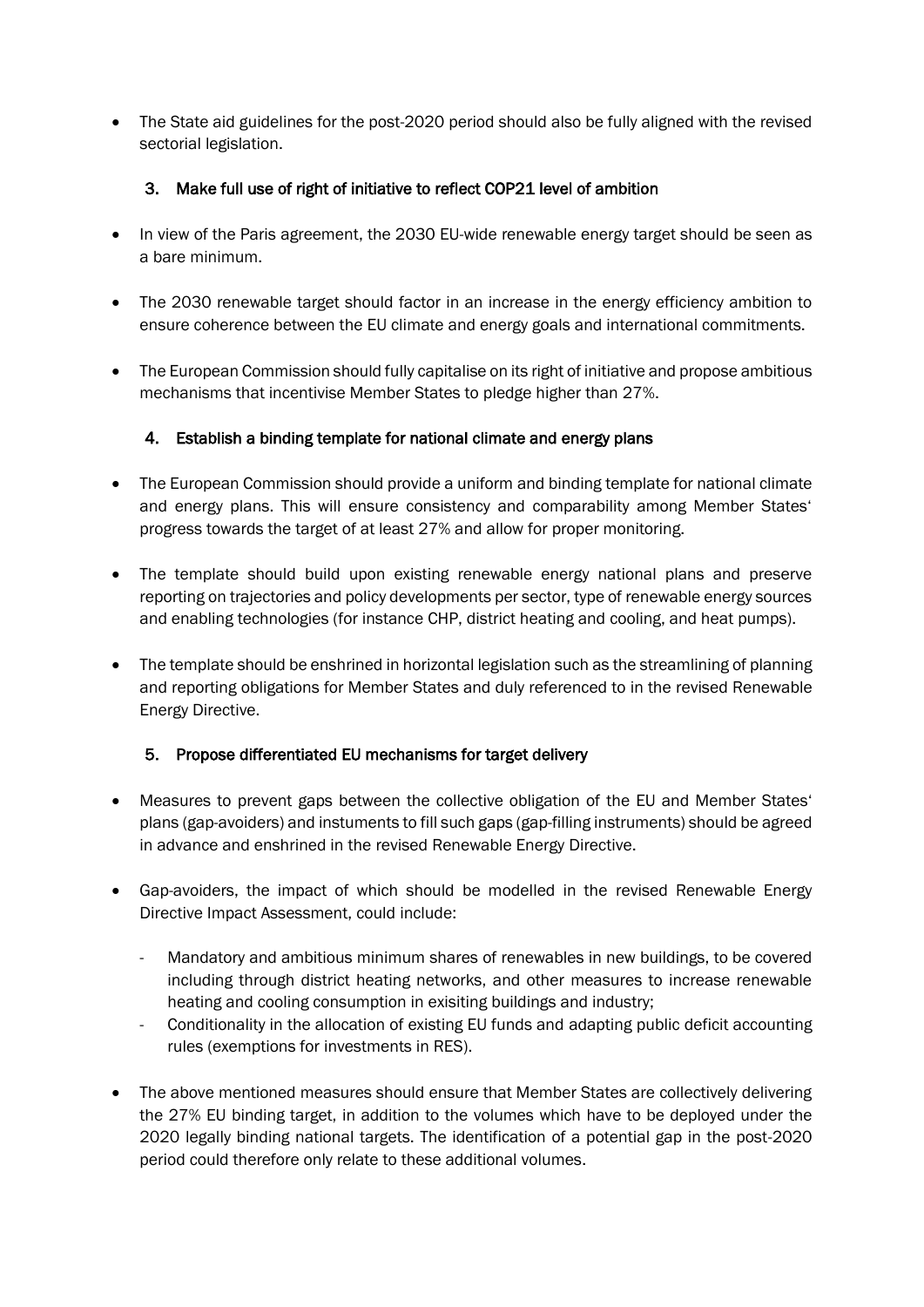• The State aid guidelines for the post-2020 period should also be fully aligned with the revised sectorial legislation.

### 3. Make full use of right of initiative to reflect COP21 level of ambition

- In view of the Paris agreement, the 2030 EU-wide renewable energy target should be seen as a bare minimum.
- The 2030 renewable target should factor in an increase in the energy efficiency ambition to ensure coherence between the EU climate and energy goals and international commitments.
- The European Commission should fully capitalise on its right of initiative and propose ambitious mechanisms that incentivise Member States to pledge higher than 27%.

### 4. Establish a binding template for national climate and energy plans

- The European Commission should provide a uniform and binding template for national climate and energy plans. This will ensure consistency and comparability among Member States' progress towards the target of at least 27% and allow for proper monitoring.
- The template should build upon existing renewable energy national plans and preserve reporting on trajectories and policy developments per sector, type of renewable energy sources and enabling technologies (for instance CHP, district heating and cooling, and heat pumps).
- The template should be enshrined in horizontal legislation such as the streamlining of planning and reporting obligations for Member States and duly referenced to in the revised Renewable Energy Directive.

# 5. Propose differentiated EU mechanisms for target delivery

- Measures to prevent gaps between the collective obligation of the EU and Member States' plans (gap-avoiders) and instuments to fill such gaps (gap-filling instruments) should be agreed in advance and enshrined in the revised Renewable Energy Directive.
- Gap-avoiders, the impact of which should be modelled in the revised Renewable Energy Directive Impact Assessment, could include:
	- Mandatory and ambitious minimum shares of renewables in new buildings, to be covered including through district heating networks, and other measures to increase renewable heating and cooling consumption in exisiting buildings and industry;
	- Conditionality in the allocation of existing EU funds and adapting public deficit accounting rules (exemptions for investments in RES).
- The above mentioned measures should ensure that Member States are collectively delivering the 27% EU binding target, in addition to the volumes which have to be deployed under the 2020 legally binding national targets. The identification of a potential gap in the post-2020 period could therefore only relate to these additional volumes.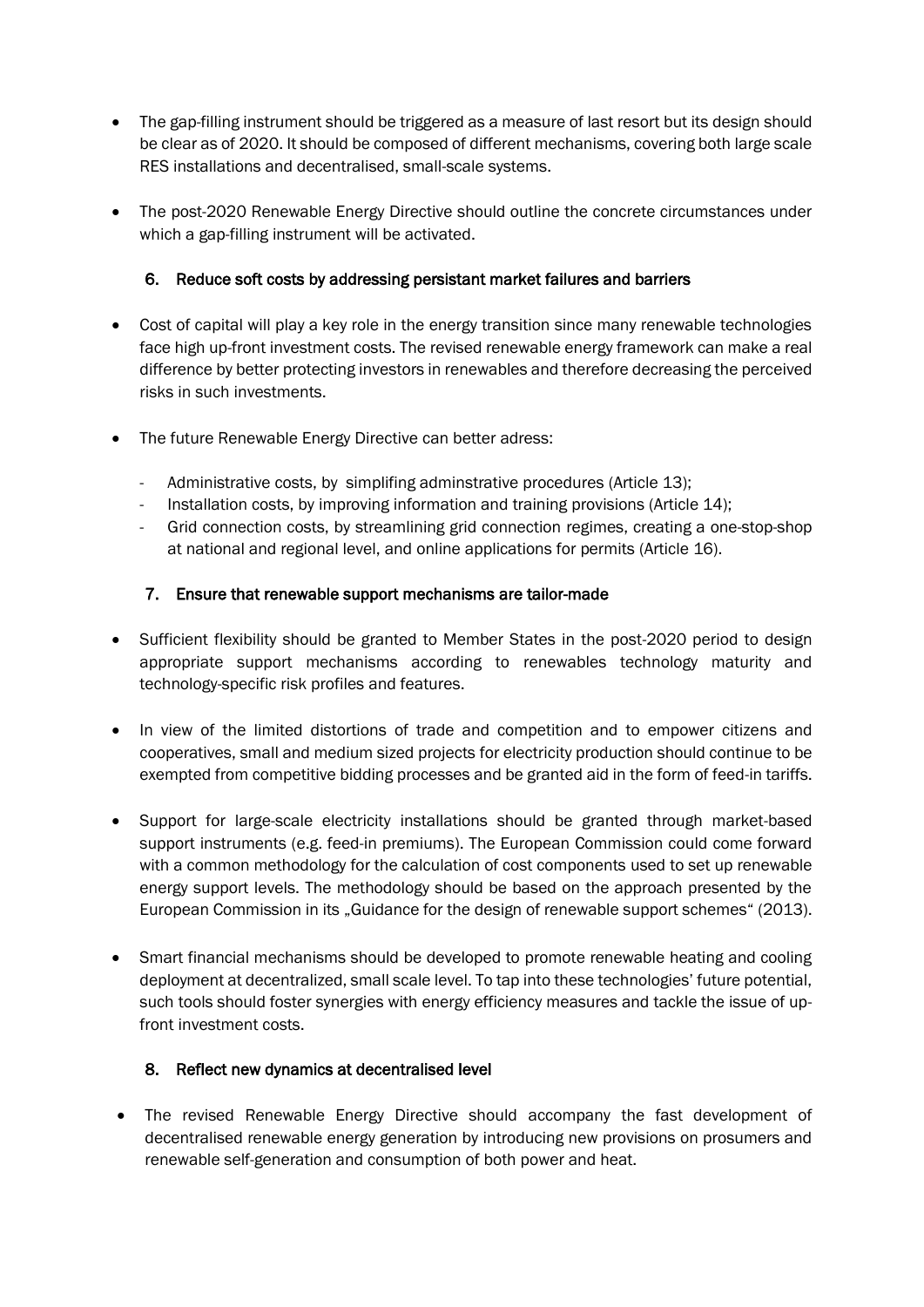- The gap-filling instrument should be triggered as a measure of last resort but its design should be clear as of 2020. It should be composed of different mechanisms, covering both large scale RES installations and decentralised, small-scale systems.
- The post-2020 Renewable Energy Directive should outline the concrete circumstances under which a gap-filling instrument will be activated.

### 6. Reduce soft costs by addressing persistant market failures and barriers

- Cost of capital will play a key role in the energy transition since many renewable technologies face high up-front investment costs. The revised renewable energy framework can make a real difference by better protecting investors in renewables and therefore decreasing the perceived risks in such investments.
- The future Renewable Energy Directive can better adress:
	- Administrative costs, by simplifing adminstrative procedures (Article 13);
	- Installation costs, by improving information and training provisions (Article 14);
	- Grid connection costs, by streamlining grid connection regimes, creating a one-stop-shop at national and regional level, and online applications for permits (Article 16).

## 7. Ensure that renewable support mechanisms are tailor-made

- Sufficient flexibility should be granted to Member States in the post-2020 period to design appropriate support mechanisms according to renewables technology maturity and technology-specific risk profiles and features.
- In view of the limited distortions of trade and competition and to empower citizens and cooperatives, small and medium sized projects for electricity production should continue to be exempted from competitive bidding processes and be granted aid in the form of feed-in tariffs.
- Support for large-scale electricity installations should be granted through market-based support instruments (e.g. feed-in premiums). The European Commission could come forward with a common methodology for the calculation of cost components used to set up renewable energy support levels. The methodology should be based on the approach presented by the European Commission in its "Guidance for the design of renewable support schemes" (2013).
- Smart financial mechanisms should be developed to promote renewable heating and cooling deployment at decentralized, small scale level. To tap into these technologies' future potential, such tools should foster synergies with energy efficiency measures and tackle the issue of upfront investment costs.

### 8. Reflect new dynamics at decentralised level

 The revised Renewable Energy Directive should accompany the fast development of decentralised renewable energy generation by introducing new provisions on prosumers and renewable self-generation and consumption of both power and heat.